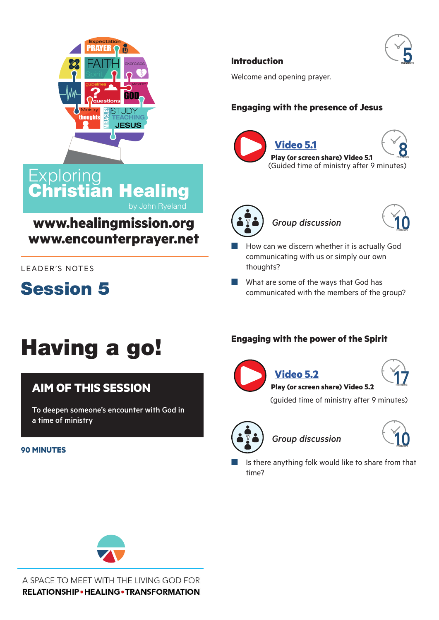

**istian Healing** 

**www.healingmission.org**

**www.encounterprayer.net**

**Introduction** 

Welcome and opening prayer.

# **Engaging with the presence of Jesus**









- How can we discern whether it is actually God communicating with us or simply our own thoughts?
- $\blacksquare$  What are some of the ways that God has communicated with the members of the group?

# Having a go!

**Exploring** 

**Session 5** 

LEADER'S NOTES

# **AIM OF THIS SESSION**

To deepen someone's encounter with God in a time of ministry

#### **90 MINUTES**

## **Engaging with the power of the Spirit**



**[V](https://youtu.be/uWQTj_Q0PDw)[ideo 5.2](https://youtu.be/Y0YjEJfJokU)**

**1minutes 7**

(guided time of ministry after 9 minutes)

**[Pl](https://youtu.be/Y0YjEJfJokU)ay (or screen share[\) Video](https://youtu.be/AV8SvPPkzwk) 5.2**



 $Group$  discussion



Is there anything folk would like to share from that time?